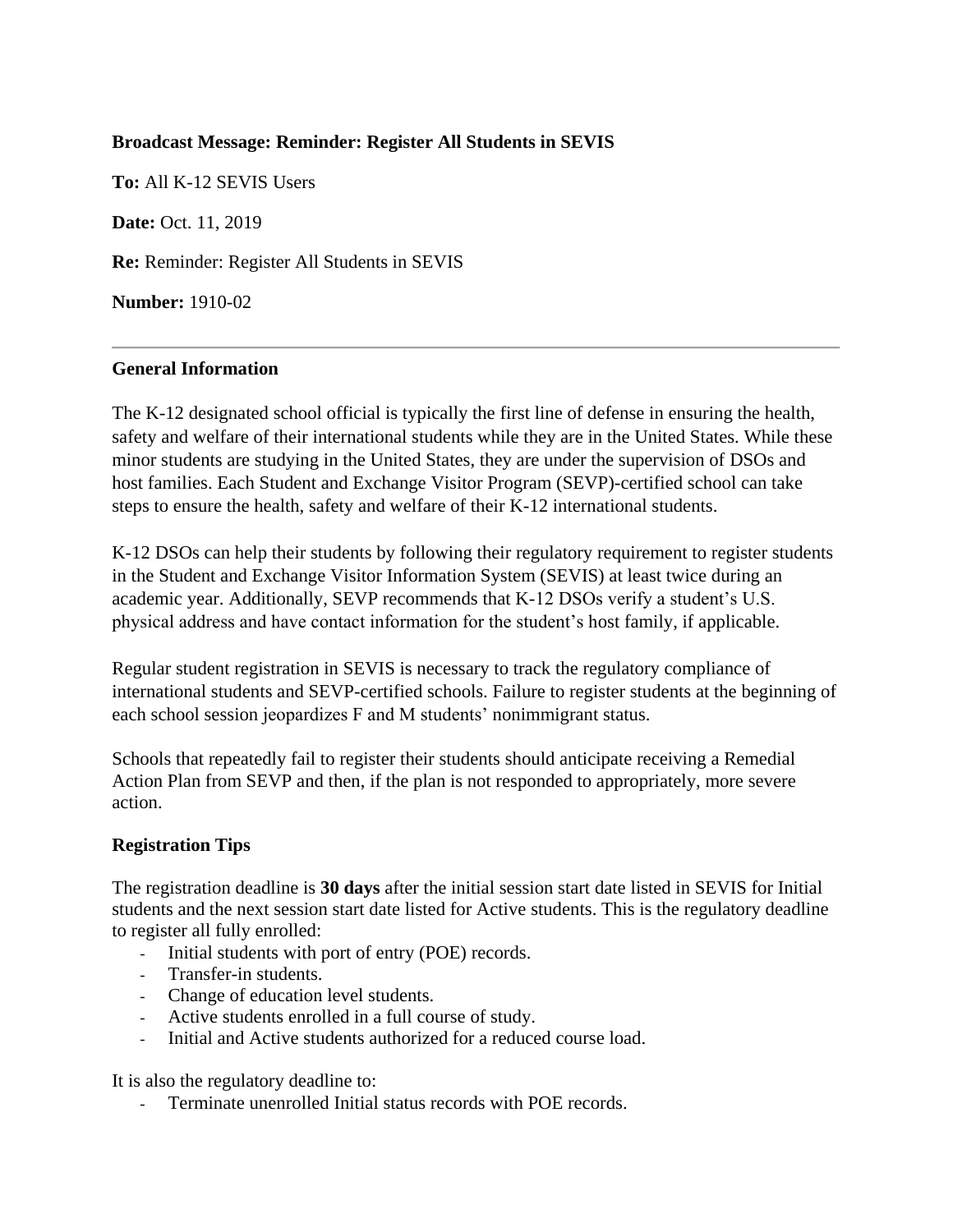# **Broadcast Message: Reminder: Register All Students in SEVIS**

**To:** All K-12 SEVIS Users **Date:** Oct. 11, 2019 **Re:** Reminder: Register All Students in SEVIS **Number:** 1910-02

### **General Information**

The K-12 designated school official is typically the first line of defense in ensuring the health, safety and welfare of their international students while they are in the United States. While these minor students are studying in the United States, they are under the supervision of DSOs and host families. Each Student and Exchange Visitor Program (SEVP)-certified school can take steps to ensure the health, safety and welfare of their K-12 international students.

K-12 DSOs can help their students by following their regulatory requirement to register students in the Student and Exchange Visitor Information System (SEVIS) at least twice during an academic year. Additionally, SEVP recommends that K-12 DSOs verify a student's U.S. physical address and have contact information for the student's host family, if applicable.

Regular student registration in SEVIS is necessary to track the regulatory compliance of international students and SEVP-certified schools. Failure to register students at the beginning of each school session jeopardizes F and M students' nonimmigrant status.

Schools that repeatedly fail to register their students should anticipate receiving a Remedial Action Plan from SEVP and then, if the plan is not responded to appropriately, more severe action.

#### **Registration Tips**

The registration deadline is **30 days** after the initial session start date listed in SEVIS for Initial students and the next session start date listed for Active students. This is the regulatory deadline to register all fully enrolled:

- Initial students with port of entry (POE) records.
- Transfer-in students.
- Change of education level students.
- Active students enrolled in a full course of study.
- Initial and Active students authorized for a reduced course load.

It is also the regulatory deadline to:

- Terminate unenrolled Initial status records with POE records.